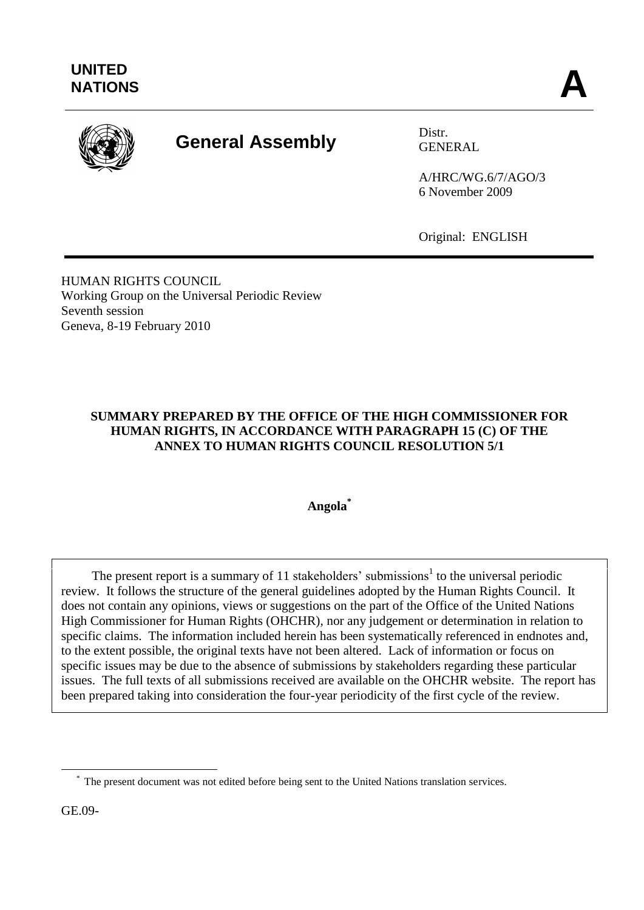

# **General Assembly** Distr.

GENERAL

A/HRC/WG.6/7/AGO/3 6 November 2009

Original: ENGLISH

HUMAN RIGHTS COUNCIL Working Group on the Universal Periodic Review Seventh session Geneva, 8-19 February 2010

#### **SUMMARY PREPARED BY THE OFFICE OF THE HIGH COMMISSIONER FOR HUMAN RIGHTS, IN ACCORDANCE WITH PARAGRAPH 15 (C) OF THE ANNEX TO HUMAN RIGHTS COUNCIL RESOLUTION 5/1**

**Angola\***

The present report is a summary of 11 stakeholders' submissions<sup>1</sup> to the universal periodic review. It follows the structure of the general guidelines adopted by the Human Rights Council. It does not contain any opinions, views or suggestions on the part of the Office of the United Nations High Commissioner for Human Rights (OHCHR), nor any judgement or determination in relation to specific claims. The information included herein has been systematically referenced in endnotes and, to the extent possible, the original texts have not been altered. Lack of information or focus on specific issues may be due to the absence of submissions by stakeholders regarding these particular issues. The full texts of all submissions received are available on the OHCHR website. The report has been prepared taking into consideration the four-year periodicity of the first cycle of the review.

GE.09-

1

<sup>\*</sup> The present document was not edited before being sent to the United Nations translation services.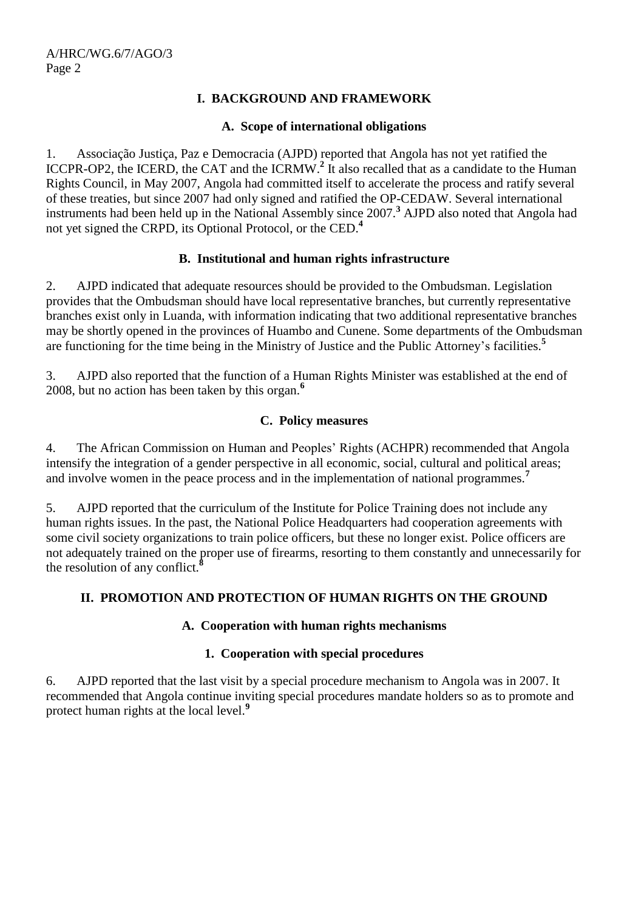#### **I. BACKGROUND AND FRAMEWORK**

#### **A. Scope of international obligations**

1. Associação Justiça, Paz e Democracia (AJPD) reported that Angola has not yet ratified the ICCPR-OP2, the ICERD, the CAT and the ICRMW. **2** It also recalled that as a candidate to the Human Rights Council, in May 2007, Angola had committed itself to accelerate the process and ratify several of these treaties, but since 2007 had only signed and ratified the OP-CEDAW. Several international instruments had been held up in the National Assembly since 2007.**<sup>3</sup>** AJPD also noted that Angola had not yet signed the CRPD, its Optional Protocol, or the CED.**<sup>4</sup>**

#### **B. Institutional and human rights infrastructure**

2. AJPD indicated that adequate resources should be provided to the Ombudsman. Legislation provides that the Ombudsman should have local representative branches, but currently representative branches exist only in Luanda, with information indicating that two additional representative branches may be shortly opened in the provinces of Huambo and Cunene. Some departments of the Ombudsman are functioning for the time being in the Ministry of Justice and the Public Attorney"s facilities.**<sup>5</sup>**

3. AJPD also reported that the function of a Human Rights Minister was established at the end of 2008, but no action has been taken by this organ. **6**

#### **C. Policy measures**

4. The African Commission on Human and Peoples" Rights (ACHPR) recommended that Angola intensify the integration of a gender perspective in all economic, social, cultural and political areas; and involve women in the peace process and in the implementation of national programmes.**<sup>7</sup>**

5. AJPD reported that the curriculum of the Institute for Police Training does not include any human rights issues. In the past, the National Police Headquarters had cooperation agreements with some civil society organizations to train police officers, but these no longer exist. Police officers are not adequately trained on the proper use of firearms, resorting to them constantly and unnecessarily for the resolution of any conflict.**<sup>8</sup>**

#### **II. PROMOTION AND PROTECTION OF HUMAN RIGHTS ON THE GROUND**

#### **A. Cooperation with human rights mechanisms**

#### **1. Cooperation with special procedures**

6. AJPD reported that the last visit by a special procedure mechanism to Angola was in 2007. It recommended that Angola continue inviting special procedures mandate holders so as to promote and protect human rights at the local level.**<sup>9</sup>**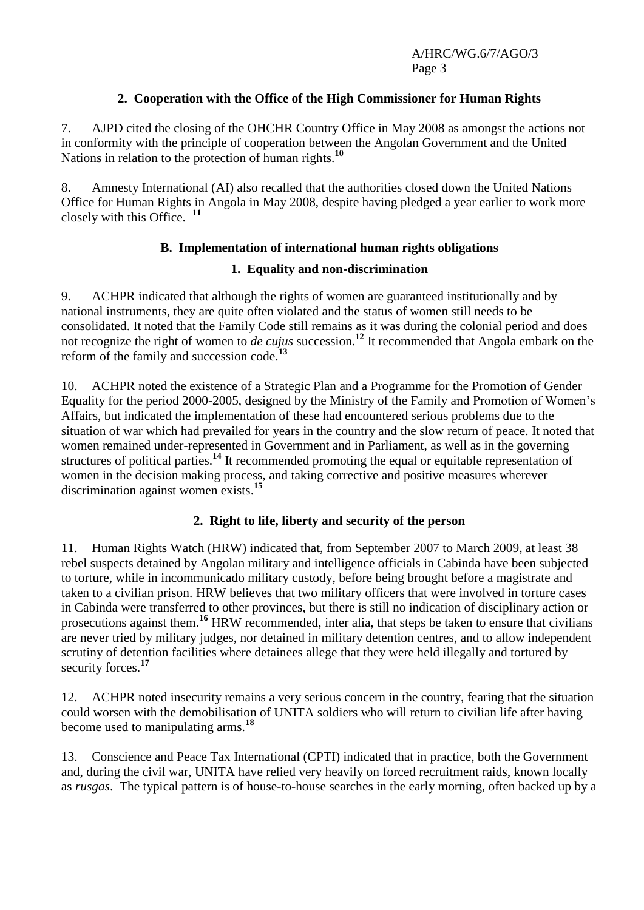#### **2. Cooperation with the Office of the High Commissioner for Human Rights**

7. AJPD cited the closing of the OHCHR Country Office in May 2008 as amongst the actions not in conformity with the principle of cooperation between the Angolan Government and the United Nations in relation to the protection of human rights.**<sup>10</sup>**

8. Amnesty International (AI) also recalled that the authorities closed down the United Nations Office for Human Rights in Angola in May 2008, despite having pledged a year earlier to work more closely with this Office. **<sup>11</sup>**

#### **B. Implementation of international human rights obligations**

#### **1. Equality and non-discrimination**

9. ACHPR indicated that although the rights of women are guaranteed institutionally and by national instruments, they are quite often violated and the status of women still needs to be consolidated. It noted that the Family Code still remains as it was during the colonial period and does not recognize the right of women to *de cujus* succession.**<sup>12</sup>** It recommended that Angola embark on the reform of the family and succession code.**<sup>13</sup>**

10. ACHPR noted the existence of a Strategic Plan and a Programme for the Promotion of Gender Equality for the period 2000-2005, designed by the Ministry of the Family and Promotion of Women"s Affairs, but indicated the implementation of these had encountered serious problems due to the situation of war which had prevailed for years in the country and the slow return of peace. It noted that women remained under-represented in Government and in Parliament, as well as in the governing structures of political parties.**<sup>14</sup>** It recommended promoting the equal or equitable representation of women in the decision making process, and taking corrective and positive measures wherever discrimination against women exists. **15**

#### **2. Right to life, liberty and security of the person**

11. Human Rights Watch (HRW) indicated that, from September 2007 to March 2009, at least 38 rebel suspects detained by Angolan military and intelligence officials in Cabinda have been subjected to torture, while in incommunicado military custody, before being brought before a magistrate and taken to a civilian prison. HRW believes that two military officers that were involved in torture cases in Cabinda were transferred to other provinces, but there is still no indication of disciplinary action or prosecutions against them.**<sup>16</sup>** HRW recommended, inter alia, that steps be taken to ensure that civilians are never tried by military judges, nor detained in military detention centres, and to allow independent scrutiny of detention facilities where detainees allege that they were held illegally and tortured by security forces.<sup>17</sup>

12. ACHPR noted insecurity remains a very serious concern in the country, fearing that the situation could worsen with the demobilisation of UNITA soldiers who will return to civilian life after having become used to manipulating arms.**<sup>18</sup>**

13. Conscience and Peace Tax International (CPTI) indicated that in practice, both the Government and, during the civil war, UNITA have relied very heavily on forced recruitment raids, known locally as *rusgas*. The typical pattern is of house-to-house searches in the early morning, often backed up by a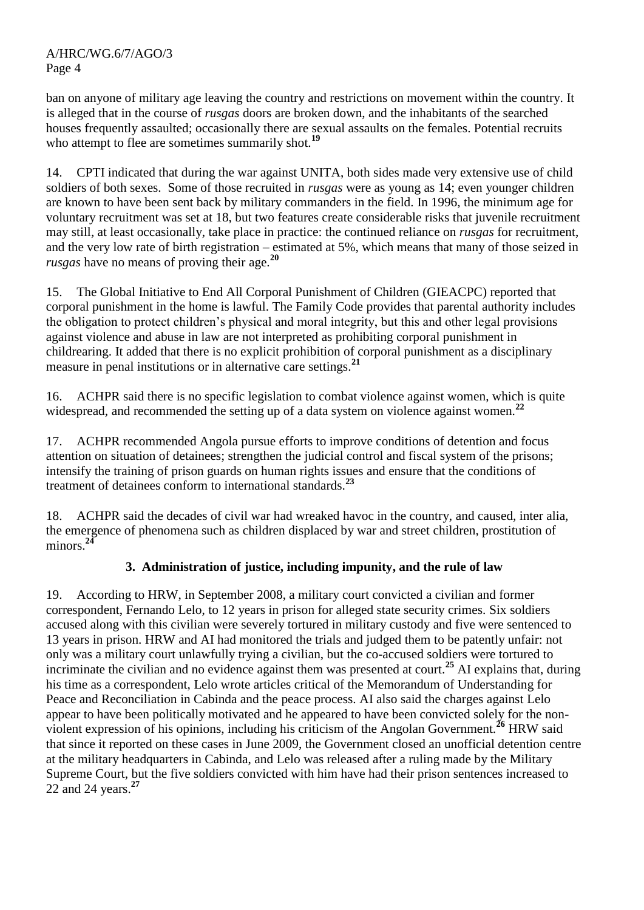ban on anyone of military age leaving the country and restrictions on movement within the country. It is alleged that in the course of *rusgas* doors are broken down, and the inhabitants of the searched houses frequently assaulted; occasionally there are sexual assaults on the females. Potential recruits who attempt to flee are sometimes summarily shot.<sup>19</sup>

14. CPTI indicated that during the war against UNITA, both sides made very extensive use of child soldiers of both sexes. Some of those recruited in *rusgas* were as young as 14; even younger children are known to have been sent back by military commanders in the field. In 1996, the minimum age for voluntary recruitment was set at 18, but two features create considerable risks that juvenile recruitment may still, at least occasionally, take place in practice: the continued reliance on *rusgas* for recruitment, and the very low rate of birth registration – estimated at 5%, which means that many of those seized in *rusgas* have no means of proving their age.**<sup>20</sup>**

15. The Global Initiative to End All Corporal Punishment of Children (GIEACPC) reported that corporal punishment in the home is lawful. The Family Code provides that parental authority includes the obligation to protect children"s physical and moral integrity, but this and other legal provisions against violence and abuse in law are not interpreted as prohibiting corporal punishment in childrearing. It added that there is no explicit prohibition of corporal punishment as a disciplinary measure in penal institutions or in alternative care settings.**<sup>21</sup>**

16. ACHPR said there is no specific legislation to combat violence against women, which is quite widespread, and recommended the setting up of a data system on violence against women.<sup>22</sup>

17. ACHPR recommended Angola pursue efforts to improve conditions of detention and focus attention on situation of detainees; strengthen the judicial control and fiscal system of the prisons; intensify the training of prison guards on human rights issues and ensure that the conditions of treatment of detainees conform to international standards.**<sup>23</sup>**

18. ACHPR said the decades of civil war had wreaked havoc in the country, and caused, inter alia, the emergence of phenomena such as children displaced by war and street children, prostitution of minors.**<sup>24</sup>**

#### **3. Administration of justice, including impunity, and the rule of law**

19. According to HRW, in September 2008, a military court convicted a civilian and former correspondent, Fernando Lelo, to 12 years in prison for alleged state security crimes. Six soldiers accused along with this civilian were severely tortured in military custody and five were sentenced to 13 years in prison. HRW and AI had monitored the trials and judged them to be patently unfair: not only was a military court unlawfully trying a civilian, but the co-accused soldiers were tortured to incriminate the civilian and no evidence against them was presented at court.**<sup>25</sup>** AI explains that, during his time as a correspondent, Lelo wrote articles critical of the Memorandum of Understanding for Peace and Reconciliation in Cabinda and the peace process. AI also said the charges against Lelo appear to have been politically motivated and he appeared to have been convicted solely for the nonviolent expression of his opinions, including his criticism of the Angolan Government.**<sup>26</sup>** HRW said that since it reported on these cases in June 2009, the Government closed an unofficial detention centre at the military headquarters in Cabinda, and Lelo was released after a ruling made by the Military Supreme Court, but the five soldiers convicted with him have had their prison sentences increased to 22 and 24 years.**<sup>27</sup>**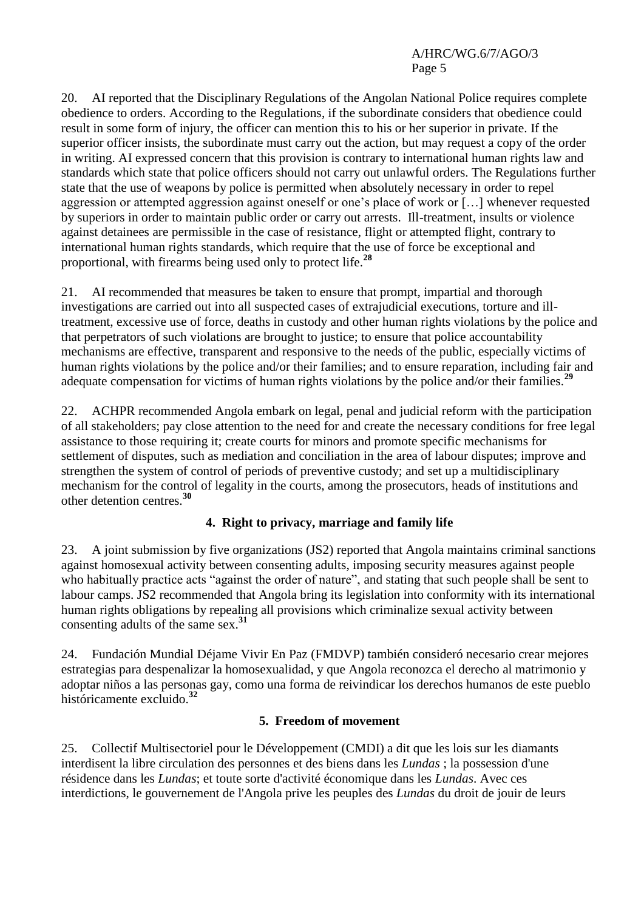20. AI reported that the Disciplinary Regulations of the Angolan National Police requires complete obedience to orders. According to the Regulations, if the subordinate considers that obedience could result in some form of injury, the officer can mention this to his or her superior in private. If the superior officer insists, the subordinate must carry out the action, but may request a copy of the order in writing. AI expressed concern that this provision is contrary to international human rights law and standards which state that police officers should not carry out unlawful orders. The Regulations further state that the use of weapons by police is permitted when absolutely necessary in order to repel aggression or attempted aggression against oneself or one"s place of work or […] whenever requested by superiors in order to maintain public order or carry out arrests. Ill-treatment, insults or violence against detainees are permissible in the case of resistance, flight or attempted flight, contrary to international human rights standards, which require that the use of force be exceptional and proportional, with firearms being used only to protect life.**<sup>28</sup>**

21. AI recommended that measures be taken to ensure that prompt, impartial and thorough investigations are carried out into all suspected cases of extrajudicial executions, torture and illtreatment, excessive use of force, deaths in custody and other human rights violations by the police and that perpetrators of such violations are brought to justice; to ensure that police accountability mechanisms are effective, transparent and responsive to the needs of the public, especially victims of human rights violations by the police and/or their families; and to ensure reparation, including fair and adequate compensation for victims of human rights violations by the police and/or their families.**<sup>29</sup>**

22. ACHPR recommended Angola embark on legal, penal and judicial reform with the participation of all stakeholders; pay close attention to the need for and create the necessary conditions for free legal assistance to those requiring it; create courts for minors and promote specific mechanisms for settlement of disputes, such as mediation and conciliation in the area of labour disputes; improve and strengthen the system of control of periods of preventive custody; and set up a multidisciplinary mechanism for the control of legality in the courts, among the prosecutors, heads of institutions and other detention centres.**<sup>30</sup>**

#### **4. Right to privacy, marriage and family life**

23. A joint submission by five organizations (JS2) reported that Angola maintains criminal sanctions against homosexual activity between consenting adults, imposing security measures against people who habitually practice acts "against the order of nature", and stating that such people shall be sent to labour camps. JS2 recommended that Angola bring its legislation into conformity with its international human rights obligations by repealing all provisions which criminalize sexual activity between consenting adults of the same sex.**<sup>31</sup>**

24. Fundación Mundial Déjame Vivir En Paz (FMDVP) también consideró necesario crear mejores estrategias para despenalizar la homosexualidad, y que Angola reconozca el derecho al matrimonio y adoptar niños a las personas gay, como una forma de reivindicar los derechos humanos de este pueblo históricamente excluido.**<sup>32</sup>**

#### **5. Freedom of movement**

25. Collectif Multisectoriel pour le Développement (CMDI) a dit que les lois sur les diamants interdisent la libre circulation des personnes et des biens dans les *Lundas* ; la possession d'une résidence dans les *Lundas*; et toute sorte d'activité économique dans les *Lundas*. Avec ces interdictions, le gouvernement de l'Angola prive les peuples des *Lundas* du droit de jouir de leurs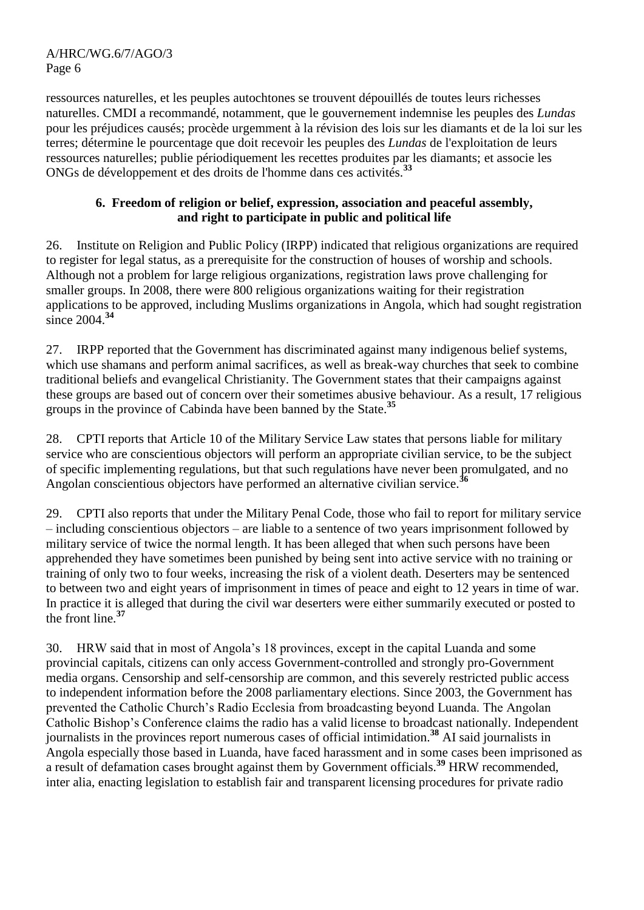ressources naturelles, et les peuples autochtones se trouvent dépouillés de toutes leurs richesses naturelles. CMDI a recommandé, notamment, que le gouvernement indemnise les peuples des *Lundas* pour les préjudices causés; procède urgemment à la révision des lois sur les diamants et de la loi sur les terres; détermine le pourcentage que doit recevoir les peuples des *Lundas* de l'exploitation de leurs ressources naturelles; publie périodiquement les recettes produites par les diamants; et associe les ONGs de développement et des droits de l'homme dans ces activités.**<sup>33</sup>**

#### **6. Freedom of religion or belief, expression, association and peaceful assembly, and right to participate in public and political life**

26. Institute on Religion and Public Policy (IRPP) indicated that religious organizations are required to register for legal status, as a prerequisite for the construction of houses of worship and schools. Although not a problem for large religious organizations, registration laws prove challenging for smaller groups. In 2008, there were 800 religious organizations waiting for their registration applications to be approved, including Muslims organizations in Angola, which had sought registration since 2004. **34**

27. IRPP reported that the Government has discriminated against many indigenous belief systems, which use shamans and perform animal sacrifices, as well as break-way churches that seek to combine traditional beliefs and evangelical Christianity. The Government states that their campaigns against these groups are based out of concern over their sometimes abusive behaviour. As a result, 17 religious groups in the province of Cabinda have been banned by the State.**<sup>35</sup>**

28. CPTI reports that Article 10 of the Military Service Law states that persons liable for military service who are conscientious objectors will perform an appropriate civilian service, to be the subject of specific implementing regulations, but that such regulations have never been promulgated, and no Angolan conscientious objectors have performed an alternative civilian service.**<sup>36</sup>**

29. CPTI also reports that under the Military Penal Code, those who fail to report for military service – including conscientious objectors – are liable to a sentence of two years imprisonment followed by military service of twice the normal length. It has been alleged that when such persons have been apprehended they have sometimes been punished by being sent into active service with no training or training of only two to four weeks, increasing the risk of a violent death. Deserters may be sentenced to between two and eight years of imprisonment in times of peace and eight to 12 years in time of war. In practice it is alleged that during the civil war deserters were either summarily executed or posted to the front line.**<sup>37</sup>**

30. HRW said that in most of Angola"s 18 provinces, except in the capital Luanda and some provincial capitals, citizens can only access Government-controlled and strongly pro-Government media organs. Censorship and self-censorship are common, and this severely restricted public access to independent information before the 2008 parliamentary elections. Since 2003, the Government has prevented the Catholic Church"s Radio Ecclesia from broadcasting beyond Luanda. The Angolan Catholic Bishop"s Conference claims the radio has a valid license to broadcast nationally. Independent journalists in the provinces report numerous cases of official intimidation.**<sup>38</sup>** AI said journalists in Angola especially those based in Luanda, have faced harassment and in some cases been imprisoned as a result of defamation cases brought against them by Government officials.**<sup>39</sup>** HRW recommended, inter alia, enacting legislation to establish fair and transparent licensing procedures for private radio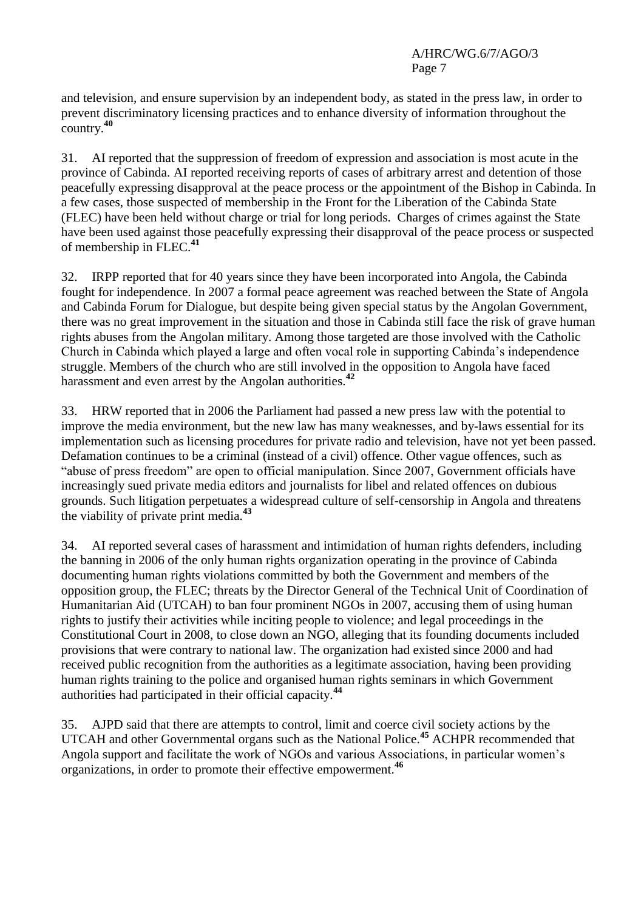and television, and ensure supervision by an independent body, as stated in the press law, in order to prevent discriminatory licensing practices and to enhance diversity of information throughout the country.**<sup>40</sup>**

31. AI reported that the suppression of freedom of expression and association is most acute in the province of Cabinda. AI reported receiving reports of cases of arbitrary arrest and detention of those peacefully expressing disapproval at the peace process or the appointment of the Bishop in Cabinda. In a few cases, those suspected of membership in the Front for the Liberation of the Cabinda State (FLEC) have been held without charge or trial for long periods. Charges of crimes against the State have been used against those peacefully expressing their disapproval of the peace process or suspected of membership in FLEC.**<sup>41</sup>**

32. IRPP reported that for 40 years since they have been incorporated into Angola, the Cabinda fought for independence. In 2007 a formal peace agreement was reached between the State of Angola and Cabinda Forum for Dialogue, but despite being given special status by the Angolan Government, there was no great improvement in the situation and those in Cabinda still face the risk of grave human rights abuses from the Angolan military. Among those targeted are those involved with the Catholic Church in Cabinda which played a large and often vocal role in supporting Cabinda"s independence struggle. Members of the church who are still involved in the opposition to Angola have faced harassment and even arrest by the Angolan authorities.**<sup>42</sup>**

33. HRW reported that in 2006 the Parliament had passed a new press law with the potential to improve the media environment, but the new law has many weaknesses, and by-laws essential for its implementation such as licensing procedures for private radio and television, have not yet been passed. Defamation continues to be a criminal (instead of a civil) offence. Other vague offences, such as "abuse of press freedom" are open to official manipulation. Since 2007, Government officials have increasingly sued private media editors and journalists for libel and related offences on dubious grounds. Such litigation perpetuates a widespread culture of self-censorship in Angola and threatens the viability of private print media.**<sup>43</sup>**

34. AI reported several cases of harassment and intimidation of human rights defenders, including the banning in 2006 of the only human rights organization operating in the province of Cabinda documenting human rights violations committed by both the Government and members of the opposition group, the FLEC; threats by the Director General of the Technical Unit of Coordination of Humanitarian Aid (UTCAH) to ban four prominent NGOs in 2007, accusing them of using human rights to justify their activities while inciting people to violence; and legal proceedings in the Constitutional Court in 2008, to close down an NGO, alleging that its founding documents included provisions that were contrary to national law. The organization had existed since 2000 and had received public recognition from the authorities as a legitimate association, having been providing human rights training to the police and organised human rights seminars in which Government authorities had participated in their official capacity.**<sup>44</sup>**

35. AJPD said that there are attempts to control, limit and coerce civil society actions by the UTCAH and other Governmental organs such as the National Police.**<sup>45</sup>** ACHPR recommended that Angola support and facilitate the work of NGOs and various Associations, in particular women"s organizations, in order to promote their effective empowerment. **46**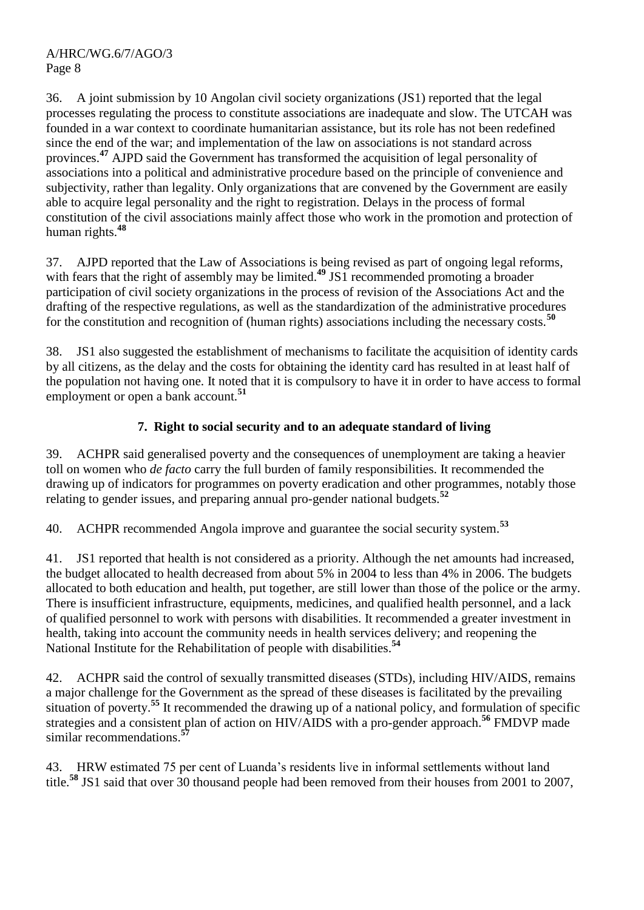36. A joint submission by 10 Angolan civil society organizations (JS1) reported that the legal processes regulating the process to constitute associations are inadequate and slow. The UTCAH was founded in a war context to coordinate humanitarian assistance, but its role has not been redefined since the end of the war; and implementation of the law on associations is not standard across provinces.**<sup>47</sup>** AJPD said the Government has transformed the acquisition of legal personality of associations into a political and administrative procedure based on the principle of convenience and subjectivity, rather than legality. Only organizations that are convened by the Government are easily able to acquire legal personality and the right to registration. Delays in the process of formal constitution of the civil associations mainly affect those who work in the promotion and protection of human rights.**<sup>48</sup>**

37. AJPD reported that the Law of Associations is being revised as part of ongoing legal reforms, with fears that the right of assembly may be limited.<sup>49</sup> JS1 recommended promoting a broader participation of civil society organizations in the process of revision of the Associations Act and the drafting of the respective regulations, as well as the standardization of the administrative procedures for the constitution and recognition of (human rights) associations including the necessary costs.**<sup>50</sup>**

38. JS1 also suggested the establishment of mechanisms to facilitate the acquisition of identity cards by all citizens, as the delay and the costs for obtaining the identity card has resulted in at least half of the population not having one. It noted that it is compulsory to have it in order to have access to formal employment or open a bank account.**<sup>51</sup>**

### **7. Right to social security and to an adequate standard of living**

39. ACHPR said generalised poverty and the consequences of unemployment are taking a heavier toll on women who *de facto* carry the full burden of family responsibilities. It recommended the drawing up of indicators for programmes on poverty eradication and other programmes, notably those relating to gender issues, and preparing annual pro-gender national budgets.**<sup>52</sup>**

40. ACHPR recommended Angola improve and guarantee the social security system.**<sup>53</sup>**

41. JS1 reported that health is not considered as a priority. Although the net amounts had increased, the budget allocated to health decreased from about 5% in 2004 to less than 4% in 2006. The budgets allocated to both education and health, put together, are still lower than those of the police or the army. There is insufficient infrastructure, equipments, medicines, and qualified health personnel, and a lack of qualified personnel to work with persons with disabilities. It recommended a greater investment in health, taking into account the community needs in health services delivery; and reopening the National Institute for the Rehabilitation of people with disabilities.**<sup>54</sup>**

42. ACHPR said the control of sexually transmitted diseases (STDs), including HIV/AIDS, remains a major challenge for the Government as the spread of these diseases is facilitated by the prevailing situation of poverty.<sup>55</sup> It recommended the drawing up of a national policy, and formulation of specific strategies and a consistent plan of action on HIV/AIDS with a pro-gender approach.<sup>56</sup> FMDVP made similar recommendations.**<sup>57</sup>**

43. HRW estimated 75 per cent of Luanda"s residents live in informal settlements without land title.**<sup>58</sup>** JS1 said that over 30 thousand people had been removed from their houses from 2001 to 2007,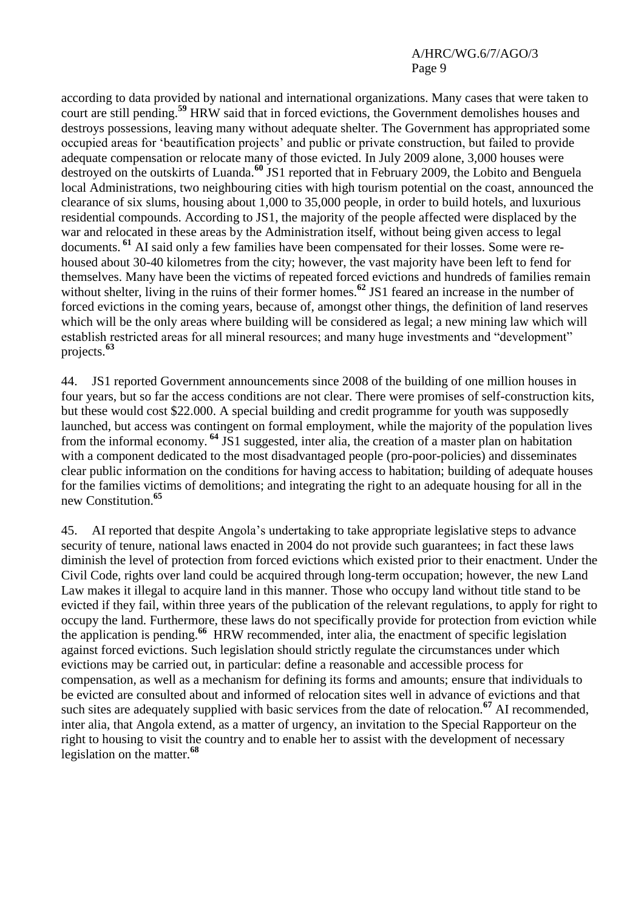according to data provided by national and international organizations. Many cases that were taken to court are still pending.**<sup>59</sup>** HRW said that in forced evictions, the Government demolishes houses and destroys possessions, leaving many without adequate shelter. The Government has appropriated some occupied areas for "beautification projects" and public or private construction, but failed to provide adequate compensation or relocate many of those evicted. In July 2009 alone, 3,000 houses were destroyed on the outskirts of Luanda. **<sup>60</sup>** JS1 reported that in February 2009, the Lobito and Benguela local Administrations, two neighbouring cities with high tourism potential on the coast, announced the clearance of six slums, housing about 1,000 to 35,000 people, in order to build hotels, and luxurious residential compounds. According to JS1, the majority of the people affected were displaced by the war and relocated in these areas by the Administration itself, without being given access to legal documents. **<sup>61</sup>** AI said only a few families have been compensated for their losses. Some were rehoused about 30-40 kilometres from the city; however, the vast majority have been left to fend for themselves. Many have been the victims of repeated forced evictions and hundreds of families remain without shelter, living in the ruins of their former homes.<sup>62</sup> JS1 feared an increase in the number of forced evictions in the coming years, because of, amongst other things, the definition of land reserves which will be the only areas where building will be considered as legal; a new mining law which will establish restricted areas for all mineral resources; and many huge investments and "development" projects.**<sup>63</sup>**

44. JS1 reported Government announcements since 2008 of the building of one million houses in four years, but so far the access conditions are not clear. There were promises of self-construction kits, but these would cost \$22.000. A special building and credit programme for youth was supposedly launched, but access was contingent on formal employment, while the majority of the population lives from the informal economy. **<sup>64</sup>** JS1 suggested, inter alia, the creation of a master plan on habitation with a component dedicated to the most disadvantaged people (pro-poor-policies) and disseminates clear public information on the conditions for having access to habitation; building of adequate houses for the families victims of demolitions; and integrating the right to an adequate housing for all in the new Constitution.**<sup>65</sup>**

45. AI reported that despite Angola"s undertaking to take appropriate legislative steps to advance security of tenure, national laws enacted in 2004 do not provide such guarantees; in fact these laws diminish the level of protection from forced evictions which existed prior to their enactment. Under the Civil Code, rights over land could be acquired through long-term occupation; however, the new Land Law makes it illegal to acquire land in this manner. Those who occupy land without title stand to be evicted if they fail, within three years of the publication of the relevant regulations, to apply for right to occupy the land. Furthermore, these laws do not specifically provide for protection from eviction while the application is pending.**<sup>66</sup>** HRW recommended, inter alia, the enactment of specific legislation against forced evictions. Such legislation should strictly regulate the circumstances under which evictions may be carried out, in particular: define a reasonable and accessible process for compensation, as well as a mechanism for defining its forms and amounts; ensure that individuals to be evicted are consulted about and informed of relocation sites well in advance of evictions and that such sites are adequately supplied with basic services from the date of relocation.**<sup>67</sup>** AI recommended, inter alia, that Angola extend, as a matter of urgency, an invitation to the Special Rapporteur on the right to housing to visit the country and to enable her to assist with the development of necessary legislation on the matter.**<sup>68</sup>**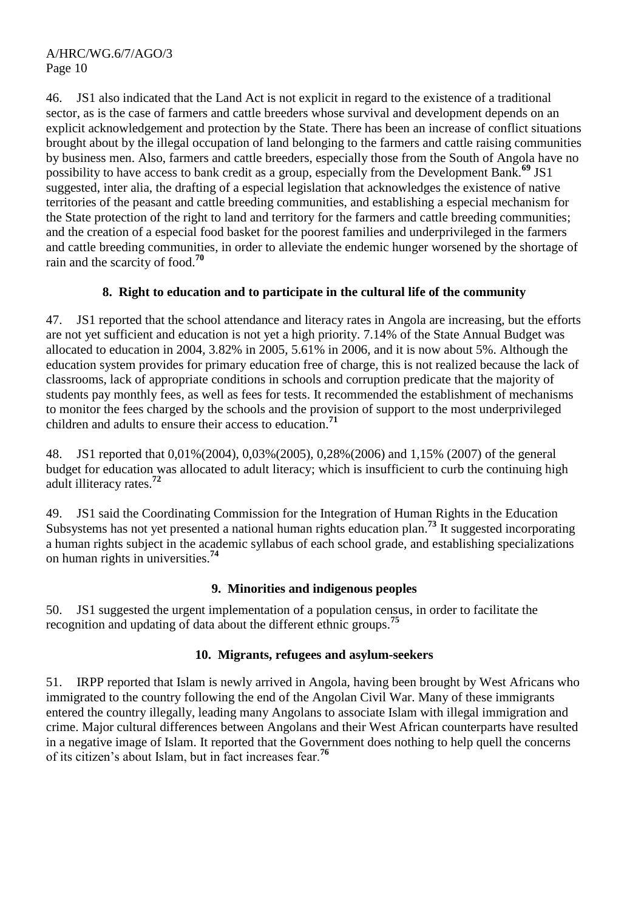46. JS1 also indicated that the Land Act is not explicit in regard to the existence of a traditional sector, as is the case of farmers and cattle breeders whose survival and development depends on an explicit acknowledgement and protection by the State. There has been an increase of conflict situations brought about by the illegal occupation of land belonging to the farmers and cattle raising communities by business men. Also, farmers and cattle breeders, especially those from the South of Angola have no possibility to have access to bank credit as a group, especially from the Development Bank.**<sup>69</sup>** JS1 suggested, inter alia, the drafting of a especial legislation that acknowledges the existence of native territories of the peasant and cattle breeding communities, and establishing a especial mechanism for the State protection of the right to land and territory for the farmers and cattle breeding communities; and the creation of a especial food basket for the poorest families and underprivileged in the farmers and cattle breeding communities, in order to alleviate the endemic hunger worsened by the shortage of rain and the scarcity of food.**<sup>70</sup>**

#### **8. Right to education and to participate in the cultural life of the community**

47. JS1 reported that the school attendance and literacy rates in Angola are increasing, but the efforts are not yet sufficient and education is not yet a high priority. 7.14% of the State Annual Budget was allocated to education in 2004, 3.82% in 2005, 5.61% in 2006, and it is now about 5%. Although the education system provides for primary education free of charge, this is not realized because the lack of classrooms, lack of appropriate conditions in schools and corruption predicate that the majority of students pay monthly fees, as well as fees for tests. It recommended the establishment of mechanisms to monitor the fees charged by the schools and the provision of support to the most underprivileged children and adults to ensure their access to education.**<sup>71</sup>**

48. JS1 reported that 0,01%(2004), 0,03%(2005), 0,28%(2006) and 1,15% (2007) of the general budget for education was allocated to adult literacy; which is insufficient to curb the continuing high adult illiteracy rates.**<sup>72</sup>**

49. JS1 said the Coordinating Commission for the Integration of Human Rights in the Education Subsystems has not yet presented a national human rights education plan.**<sup>73</sup>** It suggested incorporating a human rights subject in the academic syllabus of each school grade, and establishing specializations on human rights in universities.**<sup>74</sup>**

#### **9. Minorities and indigenous peoples**

50. JS1 suggested the urgent implementation of a population census, in order to facilitate the recognition and updating of data about the different ethnic groups.**<sup>75</sup>**

#### **10. Migrants, refugees and asylum-seekers**

51. IRPP reported that Islam is newly arrived in Angola, having been brought by West Africans who immigrated to the country following the end of the Angolan Civil War. Many of these immigrants entered the country illegally, leading many Angolans to associate Islam with illegal immigration and crime. Major cultural differences between Angolans and their West African counterparts have resulted in a negative image of Islam. It reported that the Government does nothing to help quell the concerns of its citizen"s about Islam, but in fact increases fear.**<sup>76</sup>**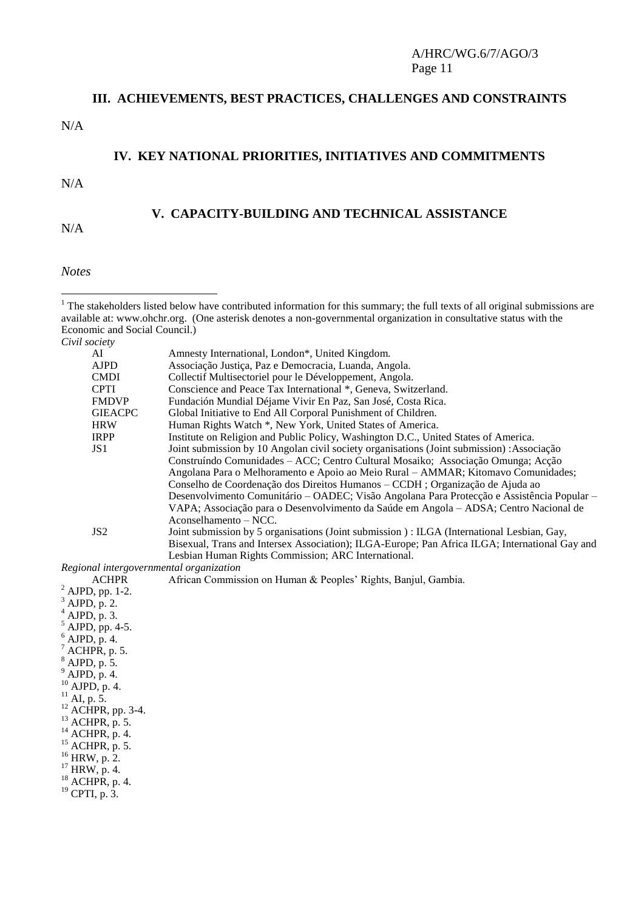# **III. ACHIEVEMENTS, BEST PRACTICES, CHALLENGES AND CONSTRAINTS** N/A

## **IV. KEY NATIONAL PRIORITIES, INITIATIVES AND COMMITMENTS**

N/A

N/A

#### **V. CAPACITY-BUILDING AND TECHNICAL ASSISTANCE**

*Notes*

- $1$  The stakeholders listed below have contributed information for this summary; the full texts of all original submissions are available at: [www.ohchr.org.](http://www.ohchr.org/) (One asterisk denotes a non-governmental organization in consultative status with the Economic and Social Council.) *Civil society* AI Amnesty International, London\*, United Kingdom.<br>AJPD Associacão Justica. Paz e Democracia. Luanda. An AJPD Associação Justiça, Paz e Democracia, Luanda, Angola. CMDI Collectif Multisectoriel pour le Développement, Angola.<br>CPTI Conscience and Peace Tax International \*. Geneva. Swit CPTI Conscience and Peace Tax International \*, Geneva, Switzerland. FMDVP Fundación Mundial Déjame Vivir En Paz, San José, Costa Rica.<br>GIEACPC Global Initiative to End All Corporal Punishment of Children. Global Initiative to End All Corporal Punishment of Children. HRW Human Rights Watch \*, New York, United States of America.<br>IRPP Institute on Religion and Public Policy, Washington D.C., Unit Institute on Religion and Public Policy, Washington D.C., United States of America. JS1 Joint submission by 10 Angolan civil society organisations (Joint submission) :Associação Construíndo Comunidades – ACC; Centro Cultural Mosaiko; Associação Omunga; Acção Angolana Para o Melhoramento e Apoio ao Meio Rural – AMMAR; Kitomavo Comunidades; Conselho de Coordenação dos Direitos Humanos – CCDH ; Organização de Ajuda ao Desenvolvimento Comunitário – OADEC; Visão Angolana Para Protecção e Assistência Popular – VAPA; Associação para o Desenvolvimento da Saúde em Angola – ADSA; Centro Nacional de Aconselhamento – NCC. JS2 Joint submission by 5 organisations (Joint submission ) : ILGA (International Lesbian, Gay, Bisexual, Trans and Intersex Association); ILGA-Europe; Pan Africa ILGA; International Gay and Lesbian Human Rights Commission; ARC International. *Regional intergovernmental organization* ACHPR African Commission on Human & Peoples' Rights, Banjul, Gambia. <sup>2</sup> AJPD, pp. 1-2.  $3$  AJPD, p. 2. <sup>4</sup> AJPD, p. 3. <sup>5</sup> AJPD, pp. 4-5. <sup>6</sup> AJPD, p. 4. ACHPR, p. 5. <sup>8</sup> AJPD, p. 5. <sup>9</sup> AJPD, p. 4.

- <sup>10</sup> AJPD, p. 4.  $^{11}$  AI, p. 5. <sup>12</sup> ACHPR, pp. 3-4. <sup>13</sup> ACHPR, p. 5.  $14$  ACHPR, p. 4.
- <sup>15</sup> ACHPR, p. 5.
- <sup>16</sup> HRW, p. 2.
- $17$  HRW, p. 4.
- <sup>18</sup> ACHPR, p. 4.
- <sup>19</sup> CPTI, p. 3.